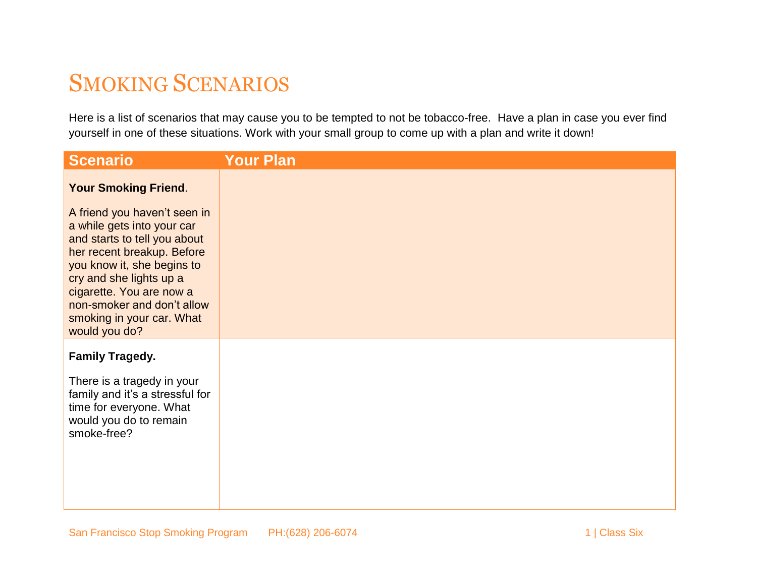## SMOKING SCENARIOS

Here is a list of scenarios that may cause you to be tempted to not be tobacco-free. Have a plan in case you ever find yourself in one of these situations. Work with your small group to come up with a plan and write it down!

| <b>Scenario</b>                                                                                                                                                                                                                                                                           | <b>Your Plan</b> |
|-------------------------------------------------------------------------------------------------------------------------------------------------------------------------------------------------------------------------------------------------------------------------------------------|------------------|
| <b>Your Smoking Friend.</b>                                                                                                                                                                                                                                                               |                  |
| A friend you haven't seen in<br>a while gets into your car<br>and starts to tell you about<br>her recent breakup. Before<br>you know it, she begins to<br>cry and she lights up a<br>cigarette. You are now a<br>non-smoker and don't allow<br>smoking in your car. What<br>would you do? |                  |
| <b>Family Tragedy.</b><br>There is a tragedy in your                                                                                                                                                                                                                                      |                  |
| family and it's a stressful for<br>time for everyone. What<br>would you do to remain<br>smoke-free?                                                                                                                                                                                       |                  |
|                                                                                                                                                                                                                                                                                           |                  |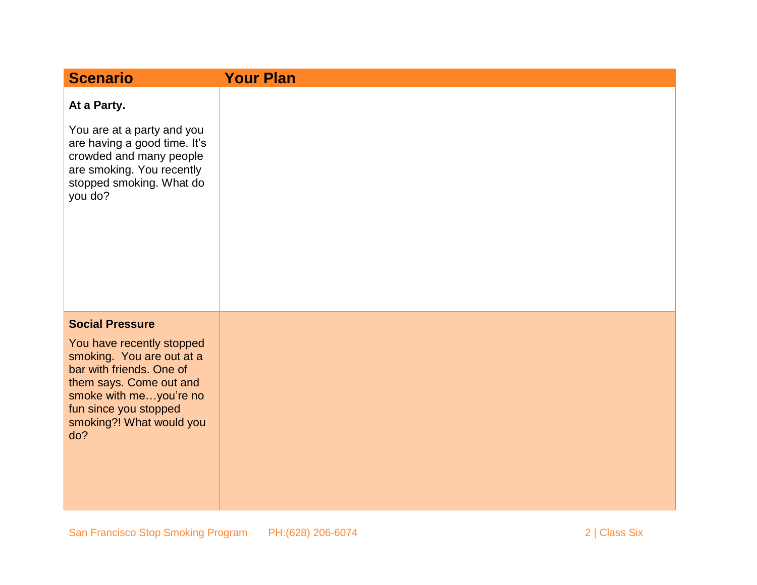| <b>Scenario</b>                                                                                                                                                                                                               | <b>Your Plan</b> |
|-------------------------------------------------------------------------------------------------------------------------------------------------------------------------------------------------------------------------------|------------------|
| At a Party.<br>You are at a party and you<br>are having a good time. It's<br>crowded and many people<br>are smoking. You recently<br>stopped smoking. What do<br>you do?                                                      |                  |
| <b>Social Pressure</b><br>You have recently stopped<br>smoking. You are out at a<br>bar with friends. One of<br>them says. Come out and<br>smoke with meyou're no<br>fun since you stopped<br>smoking?! What would you<br>do? |                  |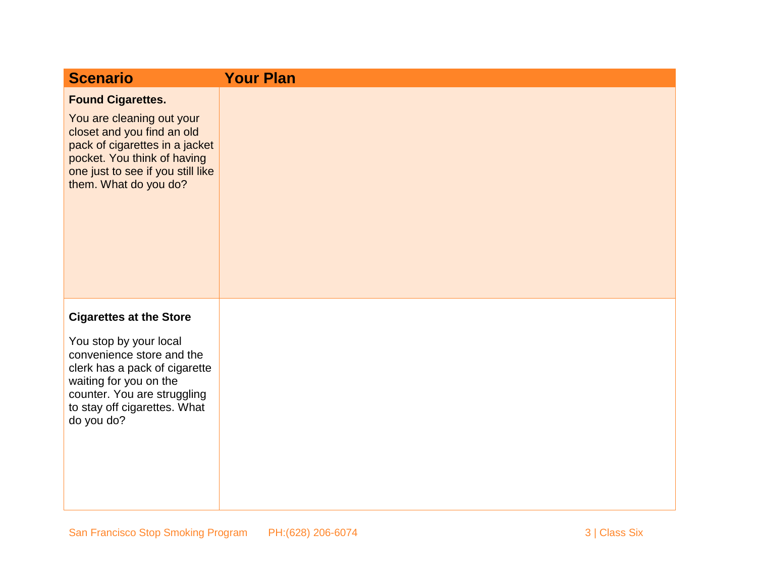| <b>Scenario</b>                                                                                                                                                                                                               | <b>Your Plan</b> |
|-------------------------------------------------------------------------------------------------------------------------------------------------------------------------------------------------------------------------------|------------------|
| <b>Found Cigarettes.</b><br>You are cleaning out your<br>closet and you find an old<br>pack of cigarettes in a jacket<br>pocket. You think of having<br>one just to see if you still like<br>them. What do you do?            |                  |
|                                                                                                                                                                                                                               |                  |
| <b>Cigarettes at the Store</b><br>You stop by your local<br>convenience store and the<br>clerk has a pack of cigarette<br>waiting for you on the<br>counter. You are struggling<br>to stay off cigarettes. What<br>do you do? |                  |